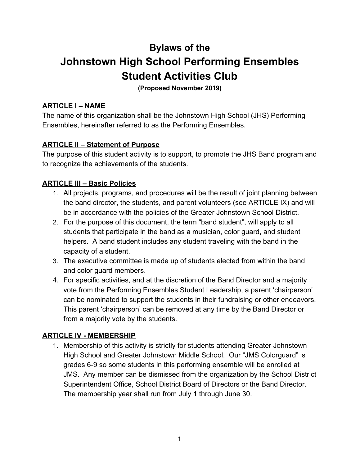# **Bylaws of the Johnstown High School Performing Ensembles Student Activities Club**

**(Proposed November 2019)**

## **ARTICLE I – NAME**

The name of this organization shall be the Johnstown High School (JHS) Performing Ensembles, hereinafter referred to as the Performing Ensembles.

### **ARTICLE II – Statement of Purpose**

The purpose of this student activity is to support, to promote the JHS Band program and to recognize the achievements of the students.

### **ARTICLE III – Basic Policies**

- 1. All projects, programs, and procedures will be the result of joint planning between the band director, the students, and parent volunteers (see ARTICLE IX) and will be in accordance with the policies of the Greater Johnstown School District.
- 2. For the purpose of this document, the term "band student", will apply to all students that participate in the band as a musician, color guard, and student helpers. A band student includes any student traveling with the band in the capacity of a student.
- 3. The executive committee is made up of students elected from within the band and color guard members.
- 4. For specific activities, and at the discretion of the Band Director and a majority vote from the Performing Ensembles Student Leadership, a parent 'chairperson' can be nominated to support the students in their fundraising or other endeavors. This parent 'chairperson' can be removed at any time by the Band Director or from a majority vote by the students.

## **ARTICLE IV - MEMBERSHIP**

1. Membership of this activity is strictly for students attending Greater Johnstown High School and Greater Johnstown Middle School. Our "JMS Colorguard" is grades 6-9 so some students in this performing ensemble will be enrolled at JMS. Any member can be dismissed from the organization by the School District Superintendent Office, School District Board of Directors or the Band Director. The membership year shall run from July 1 through June 30.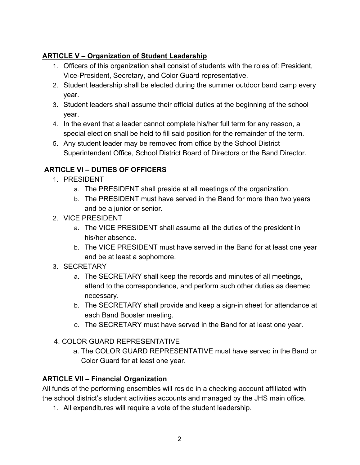# **ARTICLE V – Organization of Student Leadership**

- 1. Officers of this organization shall consist of students with the roles of: President, Vice-President, Secretary, and Color Guard representative.
- 2. Student leadership shall be elected during the summer outdoor band camp every year.
- 3. Student leaders shall assume their official duties at the beginning of the school year.
- 4. In the event that a leader cannot complete his/her full term for any reason, a special election shall be held to fill said position for the remainder of the term.
- 5. Any student leader may be removed from office by the School District Superintendent Office, School District Board of Directors or the Band Director.

# **ARTICLE VI – DUTIES OF OFFICERS**

- 1. PRESIDENT
	- a. The PRESIDENT shall preside at all meetings of the organization.
	- b. The PRESIDENT must have served in the Band for more than two years and be a junior or senior.
- 2. VICE PRESIDENT
	- a. The VICE PRESIDENT shall assume all the duties of the president in his/her absence.
	- b. The VICE PRESIDENT must have served in the Band for at least one year and be at least a sophomore.
- 3. SECRETARY
	- a. The SECRETARY shall keep the records and minutes of all meetings, attend to the correspondence, and perform such other duties as deemed necessary.
	- b. The SECRETARY shall provide and keep a sign-in sheet for attendance at each Band Booster meeting.
	- c. The SECRETARY must have served in the Band for at least one year.
- 4. COLOR GUARD REPRESENTATIVE
	- a. The COLOR GUARD REPRESENTATIVE must have served in the Band or Color Guard for at least one year.

# **ARTICLE VII – Financial Organization**

All funds of the performing ensembles will reside in a checking account affiliated with the school district's student activities accounts and managed by the JHS main office.

1. All expenditures will require a vote of the student leadership.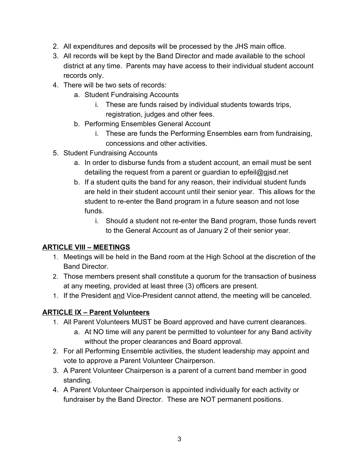- 2. All expenditures and deposits will be processed by the JHS main office.
- 3. All records will be kept by the Band Director and made available to the school district at any time. Parents may have access to their individual student account records only.
- 4. There will be two sets of records:
	- a. Student Fundraising Accounts
		- i. These are funds raised by individual students towards trips, registration, judges and other fees.
	- b. Performing Ensembles General Account
		- i. These are funds the Performing Ensembles earn from fundraising, concessions and other activities.
- 5. Student Fundraising Accounts
	- a. In order to disburse funds from a student account, an email must be sent detailing the request from a parent or guardian to epfeil@gjsd.net
	- b. If a student quits the band for any reason, their individual student funds are held in their student account until their senior year. This allows for the student to re-enter the Band program in a future season and not lose funds.
		- i. Should a student not re-enter the Band program, those funds revert to the General Account as of January 2 of their senior year.

# **ARTICLE VIII – MEETINGS**

- 1. Meetings will be held in the Band room at the High School at the discretion of the Band Director.
- 2. Those members present shall constitute a quorum for the transaction of business at any meeting, provided at least three (3) officers are present.
- 1. If the President and Vice-President cannot attend, the meeting will be canceled.

# **ARTICLE IX – Parent Volunteers**

- 1. All Parent Volunteers MUST be Board approved and have current clearances.
	- a. At NO time will any parent be permitted to volunteer for any Band activity without the proper clearances and Board approval.
- 2. For all Performing Ensemble activities, the student leadership may appoint and vote to approve a Parent Volunteer Chairperson.
- 3. A Parent Volunteer Chairperson is a parent of a current band member in good standing.
- 4. A Parent Volunteer Chairperson is appointed individually for each activity or fundraiser by the Band Director. These are NOT permanent positions.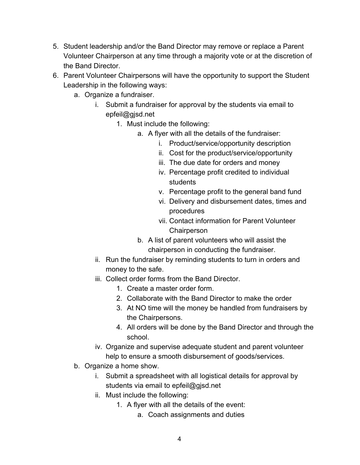- 5. Student leadership and/or the Band Director may remove or replace a Parent Volunteer Chairperson at any time through a majority vote or at the discretion of the Band Director.
- 6. Parent Volunteer Chairpersons will have the opportunity to support the Student Leadership in the following ways:
	- a. Organize a fundraiser.
		- i. Submit a fundraiser for approval by the students via email to epfeil@gjsd.net
			- 1. Must include the following:
				- a. A flyer with all the details of the fundraiser:
					- i. Product/service/opportunity description
					- ii. Cost for the product/service/opportunity
					- iii. The due date for orders and money
					- iv. Percentage profit credited to individual students
					- v. Percentage profit to the general band fund
					- vi. Delivery and disbursement dates, times and procedures
					- vii. Contact information for Parent Volunteer **Chairperson**
				- b. A list of parent volunteers who will assist the chairperson in conducting the fundraiser.
		- ii. Run the fundraiser by reminding students to turn in orders and money to the safe.
		- iii. Collect order forms from the Band Director.
			- 1. Create a master order form.
			- 2. Collaborate with the Band Director to make the order
			- 3. At NO time will the money be handled from fundraisers by the Chairpersons.
			- 4. All orders will be done by the Band Director and through the school.
		- iv. Organize and supervise adequate student and parent volunteer help to ensure a smooth disbursement of goods/services.
	- b. Organize a home show.
		- i. Submit a spreadsheet with all logistical details for approval by students via email to epfeil@gjsd.net
		- ii. Must include the following:
			- 1. A flyer with all the details of the event:
				- a. Coach assignments and duties